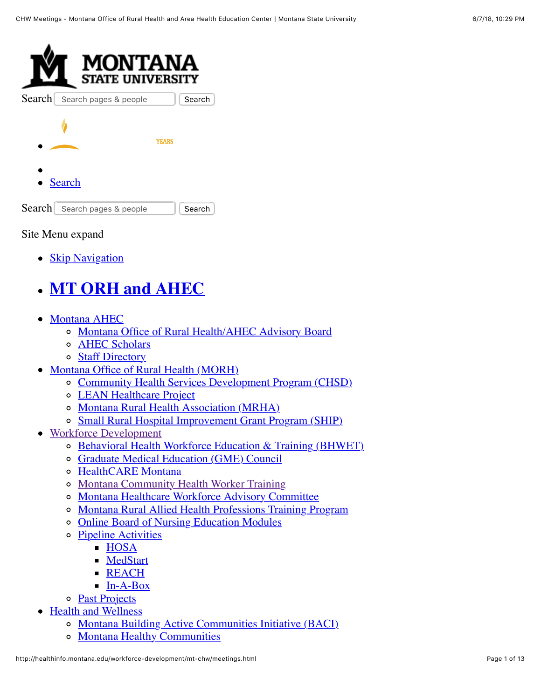

Site Menu expand

• [Skip Navigation](#page-1-0)

# **[MT ORH and AHEC](http://healthinfo.montana.edu/index.html)**

- [Montana AHEC](http://healthinfo.montana.edu/ahec-program-office/index.html)
	- [Montana Office of Rural Health/AHEC Advisory Board](http://healthinfo.montana.edu/ahec-program-office/advisory-board.html)
	- o **[AHEC Scholars](http://healthinfo.montana.edu/ahec-program-office/ahecscholars.html)**
	- o [Staff Directory](http://healthinfo.montana.edu/staffdirectory.html)
- [Montana Office of Rural Health \(MORH\)](http://healthinfo.montana.edu/morh/index.html)
	- [Community Health Services Development Program \(CHSD\)](http://healthinfo.montana.edu/morh/chsd.html)
	- [LEAN Healthcare Project](http://healthinfo.montana.edu/morh/lean.html)
	- [Montana Rural Health Association \(MRHA\)](http://healthinfo.montana.edu/morh/mrha.html)
	- o [Small Rural Hospital Improvement Grant Program \(SHIP\)](http://healthinfo.montana.edu/morh/ship.html)
- [Workforce Development](http://healthinfo.montana.edu/workforce-development/index.html)
	- o [Behavioral Health Workforce Education & Training \(BHWET\)](http://healthinfo.montana.edu/workforce-development/bhwet.html)
	- [Graduate Medical Education \(GME\) Council](http://healthinfo.montana.edu/workforce-development/gmecouncil/index.html)
	- [HealthCARE Montana](http://healthinfo.montana.edu/workforce-development/healthcare-mt.html)
	- [Montana Community Health Worker Training](http://healthinfo.montana.edu/workforce-development/chwtraining.html)
	- [Montana Healthcare Workforce Advisory Committee](http://healthinfo.montana.edu/workforce-development/mt-workforce-advisory-committee.html)
	- [Montana Rural Allied Health Professions Training Program](http://healthinfo.montana.edu/workforce-development/mrahptp.html)
	- [Online Board of Nursing Education Modules](http://healthinfo.montana.edu/events-training/NursingEd.html)
	- [Pipeline Activities](http://healthinfo.montana.edu/workforce-development/pipeline-overview.html)
		- $-HOSA$  $-HOSA$
		- **[MedStart](http://healthinfo.montana.edu/workforce-development/medstart.html)**
		- [REACH](http://healthinfo.montana.edu/workforce-development/reach.html)
		- $I_n-A-Box$
	- o [Past Projects](http://healthinfo.montana.edu/pastprojects.html)
- [Health and Wellness](http://healthinfo.montana.edu/he/index.html)
	- [Montana Building Active Communities Initiative \(BACI\)](http://healthinfo.montana.edu/health-wellness/napa.html)
	- o [Montana Healthy Communities](http://healthinfo.montana.edu/mt-healthy-communities.html)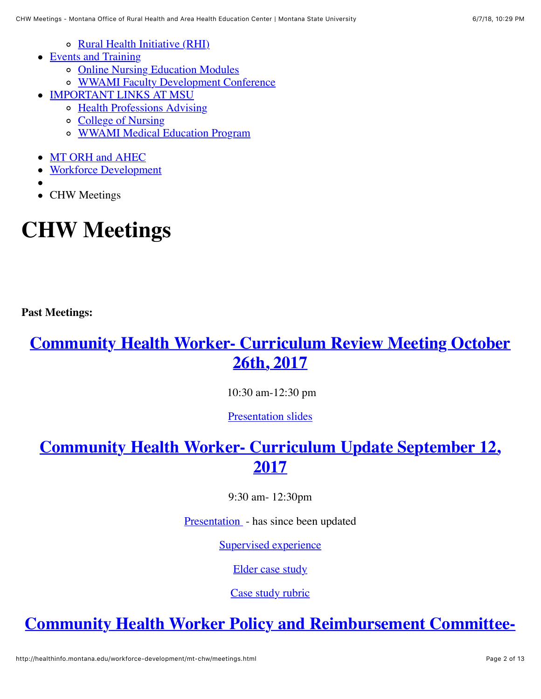- [Rural Health Initiative \(RHI\)](http://healthinfo.montana.edu/health-wellness/rhi.html)
- [Events and Training](http://healthinfo.montana.edu/events-training/index.html)
	- o [Online Nursing Education Modules](http://healthinfo.montana.edu/events-training/NursingEd.html)
	- [WWAMI Faculty Development Conference](http://healthinfo.montana.edu/events-training/wwami-faculty-development-conference.html)
- [IMPORTANT LINKS AT MSU](http://healthinfo.montana.edu/workforce-development/mt-chw/meetings.html#)
	- [Health Professions Advising](http://www.montana.edu/dhs/hpa/)
	- [College of Nursing](http://www.montana.edu/wwwnu/)
	- [WWAMI Medical Education Program](http://www.montana.edu/wwwwami/)
- [MT ORH and AHEC](http://healthinfo.montana.edu/)
- [Workforce Development](http://healthinfo.montana.edu/workforce-development/)
- 
- CHW Meetings

# <span id="page-1-0"></span>**CHW Meetings**

**Past Meetings:** 

### <span id="page-1-1"></span>**[Community Health Worker- Curriculum Review Meeting October](#page-1-1) 26th, 2017**

10:30 am-12:30 pm

[Presentation slides](http://healthinfo.montana.edu/workforce-development/mt-chw/CHW%20PP%20for%2010-26-2017SCR.pptx)

# <span id="page-1-2"></span>**[Community Health Worker- Curriculum Update September 12,](#page-1-2) 2017**

9:30 am- 12:30pm

[Presentation](http://healthinfo.montana.edu/workforce-development/mt-chw/CHW%20PP%20for%209-12-2017SCR.pptx) - has since been updated

[Supervised experience](http://healthinfo.montana.edu/workforce-development/mt-chw/CHW%20Supervised%20Experience%20Performance%20Assessment%208.2017.docx)

[Elder case study](http://healthinfo.montana.edu/workforce-development/mt-chw/Elder%20Final%20Case%20Study%206.2017.doc)

[Case study rubric](http://healthinfo.montana.edu/workforce-development/mt-chw/CHW%20Final%20Case%20Study%20Presentatio%20Rubric%207.2017.docm)

# **[Community Health Worker Policy and Reimbursement Committee-](#page-2-0)**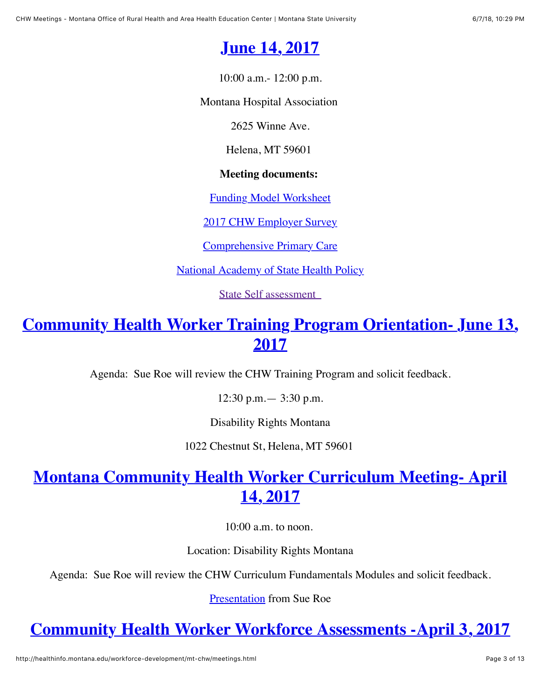# **[June 14, 2017](#page-2-0)**

10:00 a.m.- 12:00 p.m.

<span id="page-2-0"></span>Montana Hospital Association

2625 Winne Ave.

Helena, MT 59601

#### **Meeting documents:**

[Funding Model Worksheet](http://healthinfo.montana.edu/workforce-development/mt-chw/Funding%20Model%20Worksheet%204.20.2017.doc)

[2017 CHW Employer Survey](http://healthinfo.montana.edu/workforce-development/mt-chw/June14thmeeting%20CHW%20Employer%20Survey%202017%20Summary.doc)

[Comprehensive Primary Care](http://healthinfo.montana.edu/workforce-development/mt-chw/Comprehensive%20Primary%20Care%20Plus%20Locations%20in%20Montana.doc)

**[National Academy of State Health Policy](http://healthinfo.montana.edu/workforce-development/mt-chw/National%20Academy%20of%20State%20Health%20Policy%20CHW%20Survey%202017.doc)** 

[State Self assessment](http://healthinfo.montana.edu/workforce-development/mt-chw/State%20Self%20Assessment%20CHW%20Financing.pdf) 

# <span id="page-2-1"></span>**[Community Health Worker Training Program Orientation- June 13,](#page-2-1) 2017**

Agenda: Sue Roe will review the CHW Training Program and solicit feedback.

12:30 p.m.— 3:30 p.m.

Disability Rights Montana

1022 Chestnut St, Helena, MT 59601

# <span id="page-2-2"></span>**[Montana Community Health Worker Curriculum Meeting- April](#page-2-2) 14, 2017**

10:00 a.m. to noon.

Location: Disability Rights Montana

Agenda: Sue Roe will review the CHW Curriculum Fundamentals Modules and solicit feedback.

[Presentation](http://healthinfo.montana.edu/workforce-development/mt-chw/Sue%20presentation%204-14.pptx) from Sue Roe

# **[Community Health Worker Workforce Assessments -April 3, 2017](#page-3-0)**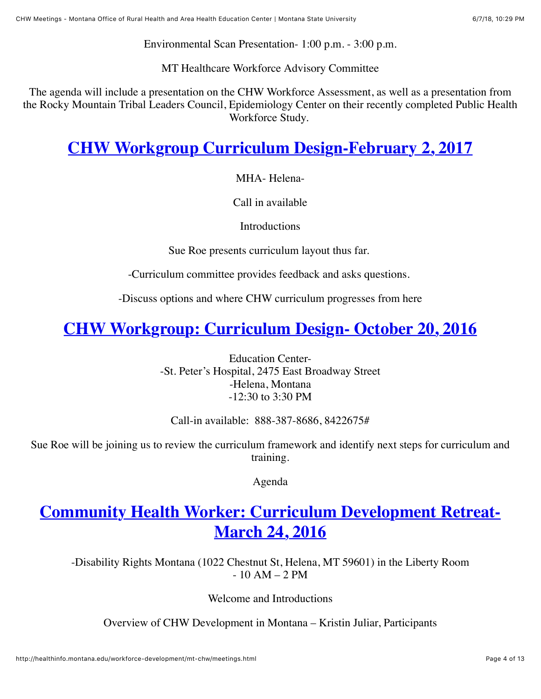Environmental Scan Presentation- 1:00 p.m. - 3:00 p.m.

MT Healthcare Workforce Advisory Committee

<span id="page-3-0"></span>The agenda will include a presentation on the CHW Workforce Assessment, as well as a presentation from the Rocky Mountain Tribal Leaders Council, Epidemiology Center on their recently completed Public Health Workforce Study.

# <span id="page-3-1"></span>**[CHW Workgroup Curriculum Design-February 2, 2017](#page-3-1)**

MHA- Helena-

Call in available

**Introductions** 

Sue Roe presents curriculum layout thus far.

-Curriculum committee provides feedback and asks questions.

-Discuss options and where CHW curriculum progresses from here

# <span id="page-3-2"></span>**[CHW Workgroup: Curriculum Design- October 20, 2016](#page-3-2)**

Education Center- -St. Peter's Hospital, 2475 East Broadway Street -Helena, Montana -12:30 to 3:30 PM

Call-in available: 888-387-8686, 8422675#

Sue Roe will be joining us to review the curriculum framework and identify next steps for curriculum and training.

Agenda

# **[Community Health Worker: Curriculum Development Retreat-](#page-3-3)March 24, 2016**

<span id="page-3-3"></span>-Disability Rights Montana (1022 Chestnut St, Helena, MT 59601) in the Liberty Room  $-10$  AM  $-2$  PM

Welcome and Introductions

Overview of CHW Development in Montana – Kristin Juliar, Participants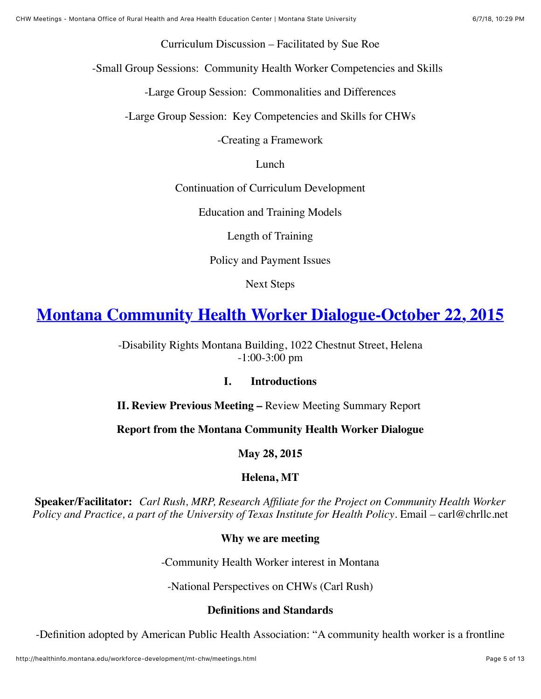Curriculum Discussion – Facilitated by Sue Roe

-Small Group Sessions: Community Health Worker Competencies and Skills

-Large Group Session: Commonalities and Differences

-Large Group Session: Key Competencies and Skills for CHWs

-Creating a Framework

Lunch

Continuation of Curriculum Development

Education and Training Models

Length of Training

Policy and Payment Issues

Next Steps

### <span id="page-4-0"></span>**[Montana Community Health Worker Dialogue-October 22, 2015](#page-4-0)**

-Disability Rights Montana Building, 1022 Chestnut Street, Helena -1:00-3:00 pm

#### **I. Introductions**

**II. Review Previous Meeting –** Review Meeting Summary Report

**Report from the Montana Community Health Worker Dialogue**

**May 28, 2015**

**Helena, MT**

**Speaker/Facilitator:** *Carl Rush, MRP, Research Affiliate for the Project on Community Health Worker Policy and Practice, a part of the University of Texas Institute for Health Policy. Email – carl@chrllc.net* 

#### **Why we are meeting**

-Community Health Worker interest in Montana

-National Perspectives on CHWs (Carl Rush)

#### **Definitions and Standards**

-Definition adopted by American Public Health Association: "A community health worker is a frontline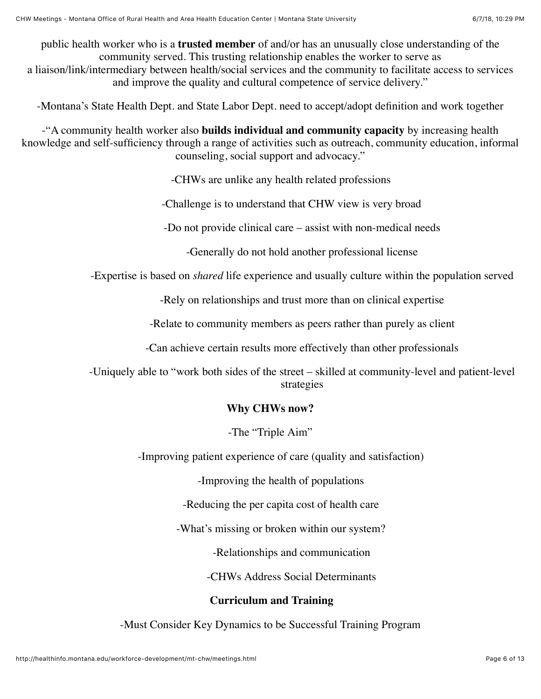public health worker who is a **trusted member** of and/or has an unusually close understanding of the community served. This trusting relationship enables the worker to serve as a liaison/link/intermediary between health/social services and the community to facilitate access to services and improve the quality and cultural competence of service delivery."

-Montana's State Health Dept. and State Labor Dept. need to accept/adopt definition and work together

-"A community health worker also **builds individual and community capacity** by increasing health knowledge and self-sufficiency through a range of activities such as outreach, community education, informal counseling, social support and advocacy."

-CHWs are unlike any health related professions

-Challenge is to understand that CHW view is very broad

-Do not provide clinical care – assist with non-medical needs

-Generally do not hold another professional license

-Expertise is based on *shared* life experience and usually culture within the population served

-Rely on relationships and trust more than on clinical expertise

-Relate to community members as peers rather than purely as client

-Can achieve certain results more effectively than other professionals

-Uniquely able to "work both sides of the street – skilled at community-level and patient-level strategies

#### **Why CHWs now?**

-The "Triple Aim"

-Improving patient experience of care (quality and satisfaction)

-Improving the health of populations

-Reducing the per capita cost of health care

-What's missing or broken within our system?

-Relationships and communication

-CHWs Address Social Determinants

#### **Curriculum and Training**

-Must Consider Key Dynamics to be Successful Training Program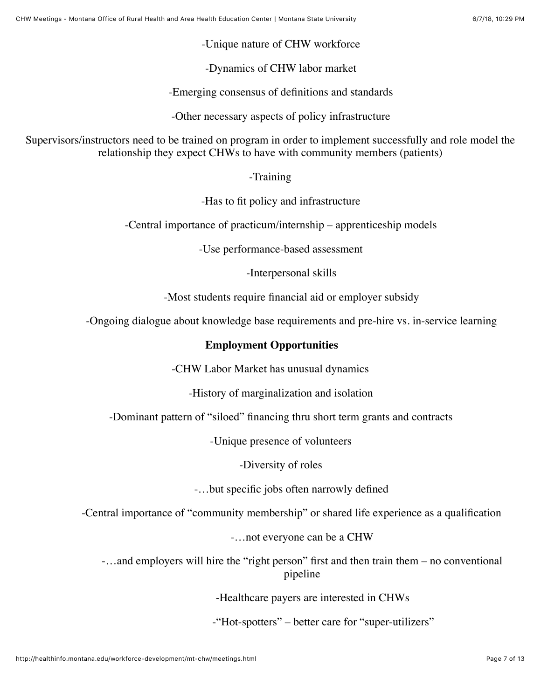-Unique nature of CHW workforce

-Dynamics of CHW labor market

-Emerging consensus of definitions and standards

-Other necessary aspects of policy infrastructure

Supervisors/instructors need to be trained on program in order to implement successfully and role model the relationship they expect CHWs to have with community members (patients)

-Training

-Has to fit policy and infrastructure

-Central importance of practicum/internship – apprenticeship models

-Use performance-based assessment

-Interpersonal skills

-Most students require financial aid or employer subsidy

-Ongoing dialogue about knowledge base requirements and pre-hire vs. in-service learning

#### **Employment Opportunities**

-CHW Labor Market has unusual dynamics

-History of marginalization and isolation

-Dominant pattern of "siloed" financing thru short term grants and contracts

-Unique presence of volunteers

-Diversity of roles

-…but specific jobs often narrowly defined

-Central importance of "community membership" or shared life experience as a qualification

-…not everyone can be a CHW

-…and employers will hire the "right person" first and then train them – no conventional pipeline

-Healthcare payers are interested in CHWs

-"Hot-spotters" – better care for "super-utilizers"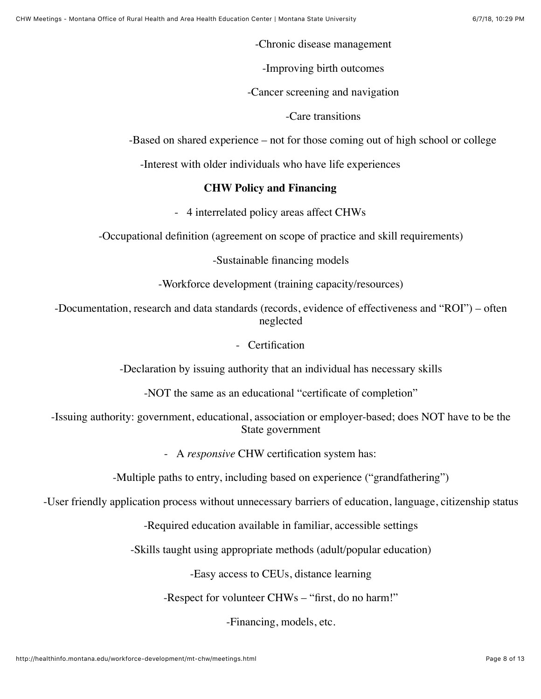-Chronic disease management

-Improving birth outcomes

-Cancer screening and navigation

-Care transitions

-Based on shared experience – not for those coming out of high school or college

-Interest with older individuals who have life experiences

#### **CHW Policy and Financing**

- 4 interrelated policy areas affect CHWs

-Occupational definition (agreement on scope of practice and skill requirements)

-Sustainable financing models

-Workforce development (training capacity/resources)

-Documentation, research and data standards (records, evidence of effectiveness and "ROI") – often neglected

- Certification

-Declaration by issuing authority that an individual has necessary skills

-NOT the same as an educational "certificate of completion"

-Issuing authority: government, educational, association or employer-based; does NOT have to be the State government

- A *responsive* CHW certification system has:

-Multiple paths to entry, including based on experience ("grandfathering")

-User friendly application process without unnecessary barriers of education, language, citizenship status

-Required education available in familiar, accessible settings

-Skills taught using appropriate methods (adult/popular education)

-Easy access to CEUs, distance learning

-Respect for volunteer CHWs – "first, do no harm!"

-Financing, models, etc.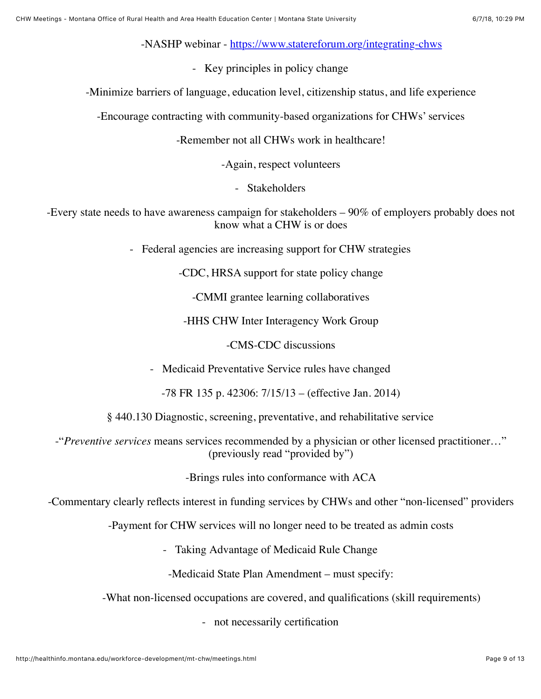-NASHP webinar -<https://www.statereforum.org/integrating-chws>

- Key principles in policy change

-Minimize barriers of language, education level, citizenship status, and life experience

-Encourage contracting with community-based organizations for CHWs' services

-Remember not all CHWs work in healthcare!

-Again, respect volunteers

- Stakeholders

-Every state needs to have awareness campaign for stakeholders – 90% of employers probably does not know what a CHW is or does

- Federal agencies are increasing support for CHW strategies

-CDC, HRSA support for state policy change

-CMMI grantee learning collaboratives

-HHS CHW Inter Interagency Work Group

-CMS-CDC discussions

- Medicaid Preventative Service rules have changed

-78 FR 135 p. 42306: 7/15/13 – (effective Jan. 2014)

§ 440.130 Diagnostic, screening, preventative, and rehabilitative service

-"*Preventive services* means services recommended by a physician or other licensed practitioner…" (previously read "provided by")

-Brings rules into conformance with ACA

-Commentary clearly reflects interest in funding services by CHWs and other "non-licensed" providers

-Payment for CHW services will no longer need to be treated as admin costs

- Taking Advantage of Medicaid Rule Change

-Medicaid State Plan Amendment – must specify:

-What non-licensed occupations are covered, and qualifications (skill requirements)

- not necessarily certification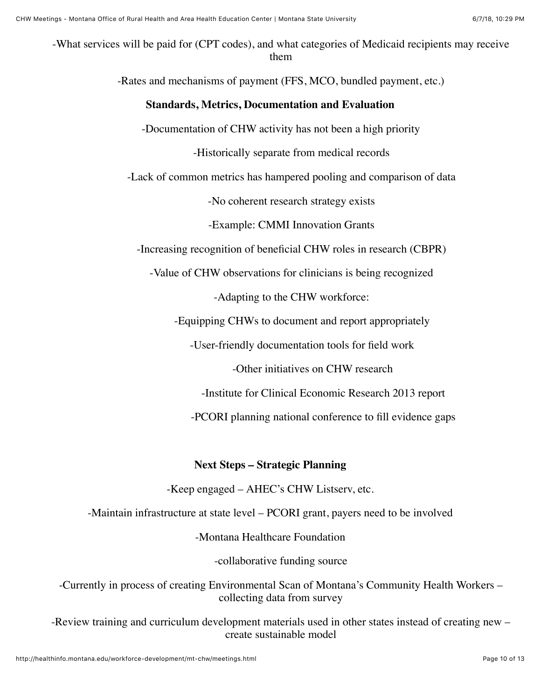-What services will be paid for (CPT codes), and what categories of Medicaid recipients may receive them

-Rates and mechanisms of payment (FFS, MCO, bundled payment, etc.)

#### **Standards, Metrics, Documentation and Evaluation**

-Documentation of CHW activity has not been a high priority

-Historically separate from medical records

-Lack of common metrics has hampered pooling and comparison of data

-No coherent research strategy exists

-Example: CMMI Innovation Grants

-Increasing recognition of beneficial CHW roles in research (CBPR)

-Value of CHW observations for clinicians is being recognized

-Adapting to the CHW workforce:

-Equipping CHWs to document and report appropriately

-User-friendly documentation tools for field work

-Other initiatives on CHW research

-Institute for Clinical Economic Research 2013 report

-PCORI planning national conference to fill evidence gaps

#### **Next Steps – Strategic Planning**

-Keep engaged – AHEC's CHW Listserv, etc.

-Maintain infrastructure at state level – PCORI grant, payers need to be involved

-Montana Healthcare Foundation

-collaborative funding source

-Currently in process of creating Environmental Scan of Montana's Community Health Workers – collecting data from survey

-Review training and curriculum development materials used in other states instead of creating new – create sustainable model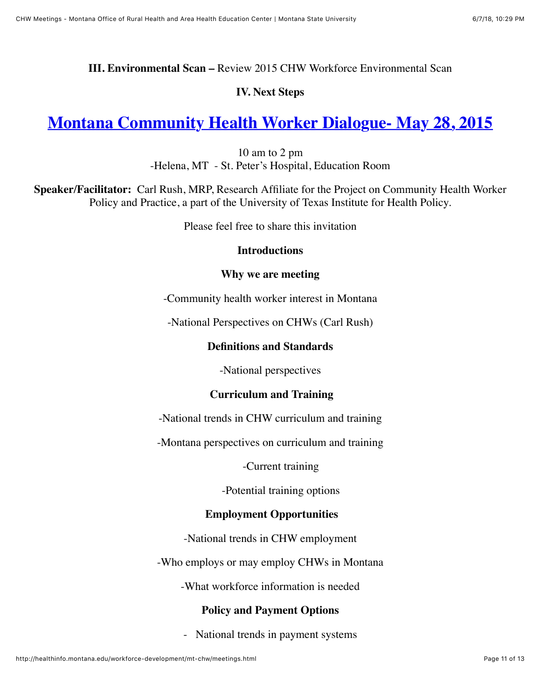#### **III. Environmental Scan –** Review 2015 CHW Workforce Environmental Scan

#### **IV. Next Steps**

### **[Montana Community Health Worker Dialogue- May 28, 2015](#page-10-0)**

10 am to 2 pm -Helena, MT - St. Peter's Hospital, Education Room

<span id="page-10-0"></span>**Speaker/Facilitator:** Carl Rush, MRP, Research Affiliate for the Project on Community Health Worker Policy and Practice, a part of the University of Texas Institute for Health Policy.

Please feel free to share this invitation

#### **Introductions**

#### **Why we are meeting**

-Community health worker interest in Montana

-National Perspectives on CHWs (Carl Rush)

#### **Definitions and Standards**

-National perspectives

#### **Curriculum and Training**

-National trends in CHW curriculum and training

-Montana perspectives on curriculum and training

-Current training

-Potential training options

#### **Employment Opportunities**

-National trends in CHW employment

-Who employs or may employ CHWs in Montana

-What workforce information is needed

#### **Policy and Payment Options**

- National trends in payment systems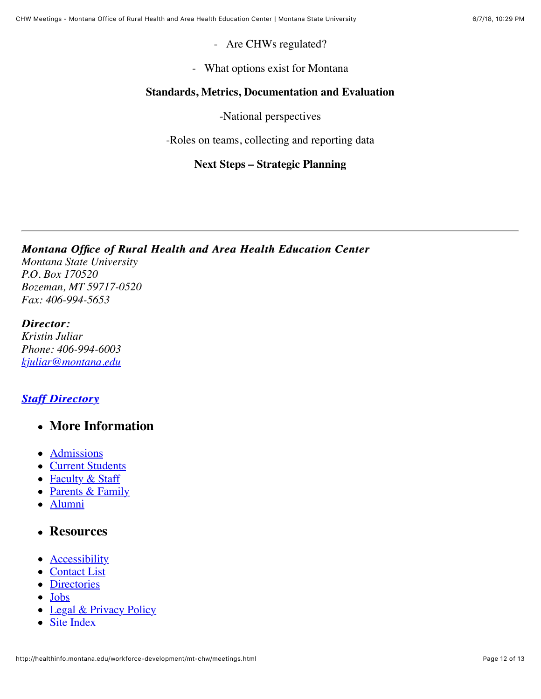- Are CHWs regulated?

- What options exist for Montana

#### **Standards, Metrics, Documentation and Evaluation**

-National perspectives

-Roles on teams, collecting and reporting data

#### **Next Steps – Strategic Planning**

*Montana Office of Rural Health and Area Health Education Center Montana Office of Rural and Area Health Education Center Montana State University P.O. Box 170520 Bozeman, MT 59717-0520 Fax: 406-994-5653*

#### *Director: Director:*

*Kristin Juliar Phone: 406-994-6003 [kjuliar@montana.edu](mailto:kjuliar@montana.edu)*

#### *[Staff Directory](http://healthinfo.montana.edu/staffdirectory.html) Staff Directory*

- **More Information**
- [Admissions](http://www.montana.edu/admissions/)
- [Current Students](http://www.montana.edu/students)
- [Faculty & Staff](http://www.montana.edu/facultystaff)
- [Parents & Family](http://www.montana.edu/parents/)
- [Alumni](http://msuaf.org/)

#### **Resources**

- **[Accessibility](http://www.montana.edu/accessibility/)**
- [Contact List](http://www.montana.edu/contact/)
- [Directories](http://www.montana.edu/search/?type=faculty)
- [Jobs](http://www.montana.edu/jobs/)
- [Legal & Privacy Policy](http://www.montana.edu/legal/)
- [Site Index](http://www.montana.edu/siteindex/)